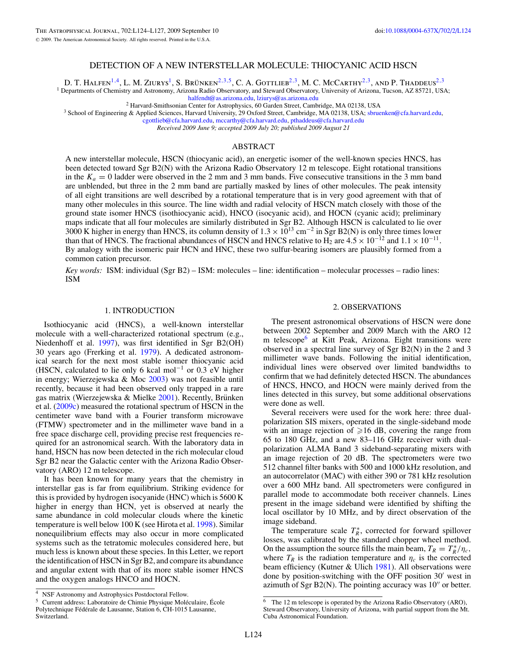# DETECTION OF A NEW INTERSTELLAR MOLECULE: THIOCYANIC ACID HSCN

D. T. HALFEN<sup>1,[4](#page-0-0)</sup>, L. M. ZIURYS<sup>1</sup>, S. Brünken<sup>2,3,[5](#page-0-1)</sup>, C. A. GOTTLIEB<sup>2,3</sup>, M. C. McCarthy<sup>2,3</sup>, and P. Thaddeus<sup>2,3</sup>

<sup>1</sup> Departments of Chemistry and Astronomy, Arizona Radio Observatory, and Steward Observatory, University of Arizona, Tucson, AZ 85721, USA;

[halfendt@as.arizona.edu,](mailto:halfendt@as.arizona.edu) [lziurys@as.arizona.edu](mailto:lziurys@as.arizona.edu)<br><sup>2</sup> Harvard-Smithsonian Center for Astrophysics, 60 Garden Street, Cambridge, MA 02138, USA<br><sup>3</sup> School of Engineering & Applied Sciences, Harvard University, 29 Oxford Street

[cgottlieb@cfa.harvard.edu,](mailto:cgottlieb@cfa.harvard.edu) [mccarthy@cfa.harvard.edu,](mailto:mccarthy@cfa.harvard.edu) [pthaddeus@cfa.harvard.edu](mailto:pthaddeus@cfa.harvard.edu)

*Received 2009 June 9; accepted 2009 July 20; published 2009 August 21*

## ABSTRACT

A new interstellar molecule, HSCN (thiocyanic acid), an energetic isomer of the well-known species HNCS, has been detected toward Sgr B2(N) with the Arizona Radio Observatory 12 m telescope. Eight rotational transitions in the  $K_a = 0$  ladder were observed in the 2 mm and 3 mm bands. Five consecutive transitions in the 3 mm band are unblended, but three in the 2 mm band are partially masked by lines of other molecules. The peak intensity of all eight transitions are well described by a rotational temperature that is in very good agreement with that of many other molecules in this source. The line width and radial velocity of HSCN match closely with those of the ground state isomer HNCS (isothiocyanic acid), HNCO (isocyanic acid), and HOCN (cyanic acid); preliminary maps indicate that all four molecules are similarly distributed in Sgr B2. Although HSCN is calculated to lie over 3000 K higher in energy than HNCS, its column density of  $1.3 \times 10^{13}$  cm<sup>-2</sup> in Sgr B2(N) is only three times lower than that of HNCS. The fractional abundances of HSCN and HNCS relative to H<sub>2</sub> are  $4.5 \times 10^{-12}$  and  $1.1 \times 10^{-11}$ . By analogy with the isomeric pair HCN and HNC, these two sulfur-bearing isomers are plausibly formed from a common cation precursor.

*Key words:* ISM: individual (Sgr B2) – ISM: molecules – line: identification – molecular processes – radio lines: ISM

### 1. INTRODUCTION

Isothiocyanic acid (HNCS), a well-known interstellar molecule with a well-characterized rotational spectrum (e.g., Niedenhoff et al. [1997\)](#page-3-0), was first identified in Sgr B2(OH) 30 years ago (Frerking et al. [1979\)](#page-3-1). A dedicated astronomical search for the next most stable isomer thiocyanic acid (HSCN, calculated to lie only 6 kcal mol<sup>-1</sup> or 0.3 eV higher in energy; Wierzejewska & Moc [2003\)](#page-3-2) was not feasible until recently, because it had been observed only trapped in a rare gas matrix (Wierzejewska  $&$  Mielke [2001\)](#page-3-3). Recently, Brünken et al. [\(2009c\)](#page-3-4) measured the rotational spectrum of HSCN in the centimeter wave band with a Fourier transform microwave (FTMW) spectrometer and in the millimeter wave band in a free space discharge cell, providing precise rest frequencies required for an astronomical search. With the laboratory data in hand, HSCN has now been detected in the rich molecular cloud Sgr B2 near the Galactic center with the Arizona Radio Observatory (ARO) 12 m telescope.

It has been known for many years that the chemistry in interstellar gas is far from equilibrium. Striking evidence for this is provided by hydrogen isocyanide (HNC) which is 5600 K higher in energy than HCN, yet is observed at nearly the same abundance in cold molecular clouds where the kinetic temperature is well below 100 K (see Hirota et al. [1998\)](#page-3-5). Similar nonequilibrium effects may also occur in more complicated systems such as the tetratomic molecules considered here, but much less is known about these species. In this Letter, we report the identification of HSCN in Sgr B2, and compare its abundance and angular extent with that of its more stable isomer HNCS and the oxygen analogs HNCO and HOCN.

#### 2. OBSERVATIONS

The present astronomical observations of HSCN were done between 2002 September and 2009 March with the ARO 12 m telescope<sup>6</sup> at Kitt Peak, Arizona. Eight transitions were observed in a spectral line survey of Sgr B2(N) in the 2 and 3 millimeter wave bands. Following the initial identification, individual lines were observed over limited bandwidths to confirm that we had definitely detected HSCN. The abundances of HNCS, HNCO, and HOCN were mainly derived from the lines detected in this survey, but some additional observations were done as well.

Several receivers were used for the work here: three dualpolarization SIS mixers, operated in the single-sideband mode with an image rejection of  $\geq 16$  dB, covering the range from 65 to 180 GHz, and a new 83–116 GHz receiver with dualpolarization ALMA Band 3 sideband-separating mixers with an image rejection of 20 dB. The spectrometers were two 512 channel filter banks with 500 and 1000 kHz resolution, and an autocorrelator (MAC) with either 390 or 781 kHz resolution over a 600 MHz band. All spectrometers were configured in parallel mode to accommodate both receiver channels. Lines present in the image sideband were identified by shifting the local oscillator by 10 MHz, and by direct observation of the image sideband.

The temperature scale  $T_R^*$ , corrected for forward spillover losses, was calibrated by the standard chopper wheel method. On the assumption the source fills the main beam,  $T_R = T_R^*/\eta_c$ , where  $T_R$  is the radiation temperature and  $\eta_c$  is the corrected beam efficiency (Kutner & Ulich [1981\)](#page-3-6). All observations were done by position-switching with the OFF position 30' west in azimuth of Sgr  $B2(N)$ . The pointing accuracy was  $10''$  or better.

<span id="page-0-1"></span><span id="page-0-0"></span><sup>4</sup> NSF Astronomy and Astrophysics Postdoctoral Fellow.

<sup>&</sup>lt;sup>5</sup> Current address: Laboratoire de Chimie Physique Moléculaire, École Polytechnique Fédérale de Lausanne, Station 6, CH-1015 Lausanne, Switzerland.

<sup>6</sup> The 12 m telescope is operated by the Arizona Radio Observatory (ARO), Steward Observatory, University of Arizona, with partial support from the Mt. Cuba Astronomical Foundation.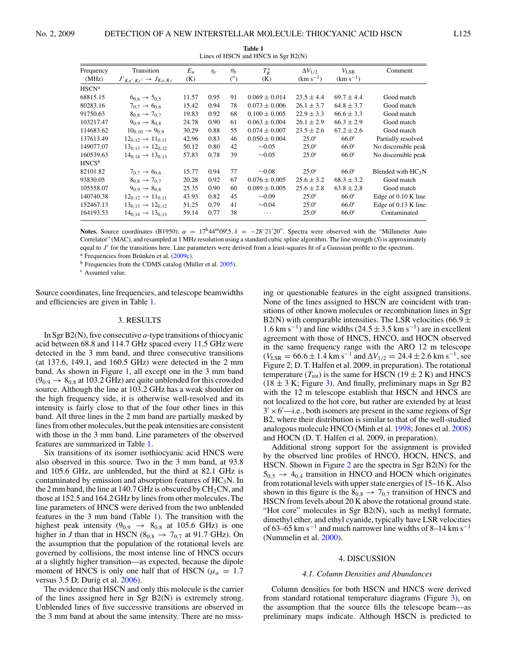| - |
|---|
|   |
|   |
|   |
|   |
|   |
|   |
|   |
|   |

<span id="page-1-0"></span>

| Transition                        | $E_{\rm u}$                          | $\eta_c$ | $\theta_b$ | $T_R^*$           | $\Delta V_{1/2}$  | $V_{\rm LSR}$     | Comment              |
|-----------------------------------|--------------------------------------|----------|------------|-------------------|-------------------|-------------------|----------------------|
|                                   |                                      |          |            |                   |                   |                   |                      |
|                                   |                                      |          |            |                   |                   |                   |                      |
| $6_{0.6} \rightarrow 5_{0.5}$     | 11.57                                | 0.95     | 91         | $0.069 \pm 0.014$ | $23.5 \pm 4.4$    | $69.7 \pm 4.4$    | Good match           |
| $7_{0.7} \rightarrow 6_{0.6}$     | 15.42                                | 0.94     | 78         | $0.073 \pm 0.006$ | $26.1 \pm 3.7$    | $64.8 \pm 3.7$    | Good match           |
| $8_{0.8} \rightarrow 7_{0.7}$     | 19.83                                | 0.92     | 68         | $0.100 \pm 0.005$ | $22.9 \pm 3.3$    | $66.6 \pm 3.3$    | Good match           |
| $9_{0.9} \rightarrow 8_{0.8}$     | 24.78                                | 0.90     | 61         | $0.063 \pm 0.004$ | $26.1 \pm 2.9$    | $66.3 \pm 2.9$    | Good match           |
| $10_{0.10} \rightarrow 9_{0.9}$   | 30.29                                | 0.88     | 55         | $0.074 \pm 0.007$ | $23.5 \pm 2.6$    | $67.2 \pm 2.6$    | Good match           |
| $12_{0.12} \rightarrow 11_{0.11}$ | 42.96                                | 0.83     | 46         | $0.050 \pm 0.004$ | $25.0^\circ$      | 66.0 <sup>c</sup> | Partially resolved   |
| $13_{0.13} \rightarrow 12_{0.12}$ | 50.12                                | 0.80     | 42         | $\sim 0.05$       | $25.0^\circ$      | 66.0 <sup>c</sup> | No discernible peak  |
| $14_{0.14} \rightarrow 13_{0.13}$ | 57.83                                | 0.78     | 39         | $\sim 0.05$       | $25.0^\circ$      | 66.0 <sup>c</sup> | No discernible peak  |
|                                   |                                      |          |            |                   |                   |                   |                      |
| $7_{0.7} \rightarrow 6_{0.6}$     | 15.77                                | 0.94     | 77         | $\sim 0.08$       | $25.0^\circ$      | 66.0 <sup>c</sup> | Blended with $HC_3N$ |
| $8_{0.8} \rightarrow 7_{0.7}$     | 20.28                                | 0.92     | 67         | $0.076 \pm 0.005$ | $25.6 \pm 3.2$    | $68.3 \pm 3.2$    | Good match           |
| $9_{0.9} \rightarrow 8_{0.8}$     | 25.35                                | 0.90     | 60         | $0.089 \pm 0.005$ | $25.6 \pm 2.8$    | $63.8 \pm 2.8$    | Good match           |
| $12_{0.12} \rightarrow 11_{0.11}$ | 43.93                                | 0.82     | 45         | $\sim 0.09$       | 25.0 <sup>c</sup> | 66.0 <sup>c</sup> | Edge of 0.10 K line  |
| $13_{0.13} \rightarrow 12_{0.12}$ | 51.25                                | 0.79     | 41         | $\sim 0.04$       | $25.0^\circ$      | 66.0 <sup>c</sup> | Edge of 0.13 K line  |
| $14_{0.14} \rightarrow 13_{0.13}$ | 59.14                                | 0.77     | 38         | $\cdots$          | 25.0 <sup>c</sup> | 66.0 <sup>c</sup> | Contaminated         |
|                                   | $J'_{Ka',Kc'} \rightarrow J_{Ka,Kc}$ | (K)      |            | ('')              | (K)               | $(km s^{-1})$     | $(km s^{-1})$        |

**Table 1** Lines of HSCN and HNCS in Sgr B2(N)

**Notes.** Source coordinates (B1950):  $\alpha = 17^h 44^m 09.5$ ,  $\delta = -28°21'20''$ . Spectra were observed with the "Millimeter Auto Correlator" (MAC), and resampled at 1 MHz resolution using a standard cubic spline algorithm. The line strength (*S*) is approximately equal to J' for the transitions here. Line parameters were derived from a least-squares fit of a Gaussian profile to the spectrum.

 $a$  Frequencies from Brünken et al.  $(2009c)$  $(2009c)$ .

 $<sup>b</sup>$  Frequencies from the CDMS catalog (Müller et al. [2005\)](#page-3-7).</sup>

<sup>c</sup> Assumed value.

Source coordinates, line frequencies, and telescope beamwidths and efficiencies are given in Table [1.](#page-1-0)

#### 3. RESULTS

In Sgr B2(N), five consecutive *a*-type transitions of thiocyanic acid between 68.8 and 114.7 GHz spaced every 11.5 GHz were detected in the 3 mm band, and three consecutive transitions (at 137.6, 149.1, and 160.5 GHz) were detected in the 2 mm band. As shown in Figure [1,](#page-2-0) all except one in the 3 mm band  $(9_{0.9} \rightarrow 8_{0.8}$  at 103.2 GHz) are quite unblended for this crowded source. Although the line at 103.2 GHz has a weak shoulder on the high frequency side, it is otherwise well-resolved and its intensity is fairly close to that of the four other lines in this band. All three lines in the 2 mm band are partially masked by lines from other molecules, but the peak intensities are consistent with those in the 3 mm band. Line parameters of the observed features are summarized in Table [1.](#page-1-0)

Six transitions of its isomer isothiocyanic acid HNCS were also observed in this source. Two in the 3 mm band, at 93.8 and 105.6 GHz, are unblended, but the third at 82.1 GHz is contaminated by emission and absorption features of  $HC_3N$ . In the 2 mm band, the line at 140.7 GHz is obscured by  $CH<sub>2</sub>CN$ , and those at 152.5 and 164.2 GHz by lines from other molecules. The line parameters of HNCS were derived from the two unblended features in the 3 mm band (Table [1\)](#page-1-0). The transition with the highest peak intensity ( $9_{0.9} \rightarrow 8_{0.8}$  at 105.6 GHz) is one higher in *J* than that in HSCN ( $8_{0.8} \rightarrow 7_{0.7}$  at 91.7 GHz). On the assumption that the population of the rotational levels are governed by collisions, the most intense line of HNCS occurs at a slightly higher transition—as expected, because the dipole moment of HNCS is only one half that of HSCN ( $\mu_a = 1.7$ ) versus 3.5 D; Durig et al. [2006\)](#page-3-8).

The evidence that HSCN and only this molecule is the carrier of the lines assigned here in Sgr B2(N) is extremely strong. Unblended lines of five successive transitions are observed in the 3 mm band at about the same intensity. There are no missing or questionable features in the eight assigned transitions. None of the lines assigned to HSCN are coincident with transitions of other known molecules or recombination lines in Sgr B2(N) with comparable intensities. The LSR velocities (66.9  $\pm$ 1.6 km s<sup>-1</sup>) and line widths (24.5 ± 3.5 km s<sup>-1</sup>) are in excellent agreement with those of HNCS, HNCO, and HOCN observed in the same frequency range with the ARO 12 m telescope  $(V_{LSR} = 66.6 \pm 1.4$  km s<sup>-1</sup> and  $\Delta V_{1/2} = 24.4 \pm 2.6$  km s<sup>-1</sup>, see Figure 2; D. T. Halfen et al. 2009, in preparation). The rotational temperature  $(T_{\text{rot}})$  is the same for HSCN (19  $\pm$  2 K) and HNCS  $(18 \pm 3 \text{ K}; \text{Figure 3})$ . And finally, preliminary maps in Sgr B2 with the 12 m telescope establish that HSCN and HNCS are not localized to the hot core, but rather are extended by at least  $3' \times 6'$ —i.e., both isomers are present in the same regions of Sgr B2, where their distribution is similar to that of the well-studied analogous molecule HNCO (Minh et al. [1998;](#page-3-9) Jones et al. [2008\)](#page-3-10) and HOCN (D. T. Halfen et al. 2009, in preparation).

Additional strong support for the assignment is provided by the observed line profiles of HNCO, HOCN, HNCS, and HSCN. Shown in Figure [2](#page-2-2) are the spectra in Sgr B2(N) for the  $5_{0.5} \rightarrow 4_{0.4}$  transition in HNCO and HOCN which originates from rotational levels with upper state energies of 15–16 K. Also shown in this figure is the  $8_{0,8} \rightarrow 7_{0,7}$  transition of HNCS and HSCN from levels about 20 K above the rotational ground state. "Hot core" molecules in Sgr B2(N), such as methyl formate, dimethyl ether, and ethyl cyanide, typically have LSR velocities of 63–65 km s<sup>-1</sup> and much narrower line widths of 8–14 km s<sup>-1</sup> (Nummelin et al. [2000\)](#page-3-11).

#### 4. DISCUSSION

### *4.1. Column Densities and Abundances*

Column densities for both HSCN and HNCS were derived from standard rotational temperature diagrams (Figure [3\)](#page-2-1), on the assumption that the source fills the telescope beam—as preliminary maps indicate. Although HSCN is predicted to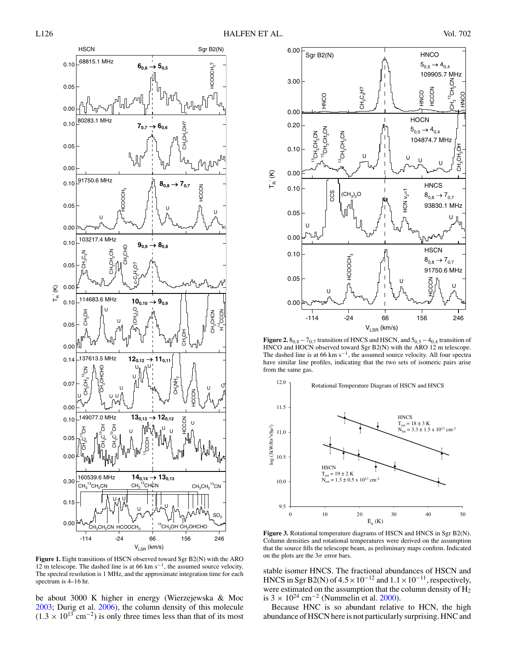<span id="page-2-2"></span>

<span id="page-2-1"></span><span id="page-2-0"></span>**Figure 1.** Eight transitions of HSCN observed toward Sgr B2(N) with the ARO 12 m telescope. The dashed line is at 66 km s−1, the assumed source velocity. The spectral resolution is 1 MHz, and the approximate integration time for each spectrum is 4–16 hr.

be about 3000 K higher in energy (Wierzejewska & Moc [2003;](#page-3-2) Durig et al. [2006\)](#page-3-8), the column density of this molecule  $(1.3 \times 10^{13} \text{ cm}^{-2})$  is only three times less than that of its most



**Figure 2.**  $8_{0,8} - 7_{0,7}$  transition of HNCS and HSCN, and  $5_{0,5} - 4_{0,4}$  transition of HNCO and HOCN observed toward Sgr B2(N) with the ARO 12 m telescope. The dashed line is at 66 km s−1, the assumed source velocity. All four spectra have similar line profiles, indicating that the two sets of isomeric pairs arise from the same gas.



**Figure 3.** Rotational temperature diagrams of HSCN and HNCS in Sgr B2(N). Column densities and rotational temperatures were derived on the assumption that the source fills the telescope beam, as preliminary maps confirm. Indicated on the plots are the  $3\sigma$  error bars.

stable isomer HNCS. The fractional abundances of HSCN and HNCS in Sgr B2(N) of  $4.5 \times 10^{-12}$  and  $1.1 \times 10^{-11}$ , respectively, were estimated on the assumption that the column density of  $\dot{H_2}$ is  $3 \times 10^{24}$  cm<sup>-2</sup> (Nummelin et al. [2000\)](#page-3-11).

Because HNC is so abundant relative to HCN, the high abundance of HSCN here is not particularly surprising. HNC and